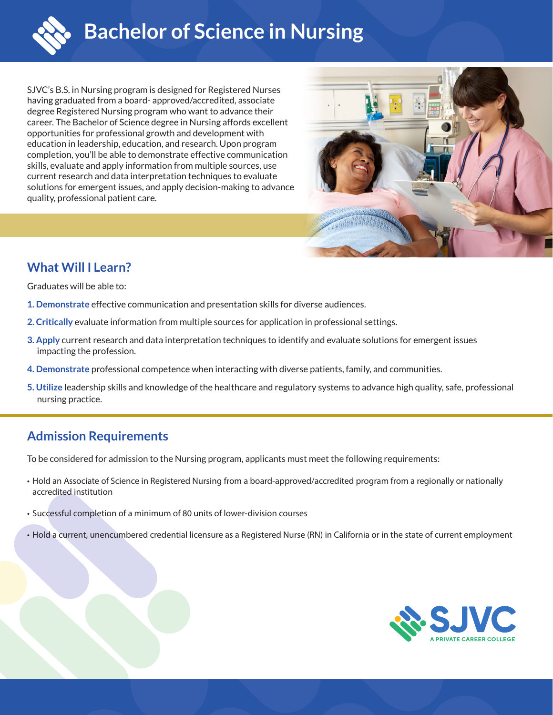

SJVC's B.S. in Nursing program is designed for Registered Nurses having graduated from a board- approved/accredited, associate degree Registered Nursing program who want to advance their career. The Bachelor of Science degree in Nursing affords excellent opportunities for professional growth and development with education in leadership, education, and research. Upon program completion, you'll be able to demonstrate effective communication skills, evaluate and apply information from multiple sources, use current research and data interpretation techniques to evaluate solutions for emergent issues, and apply decision-making to advance quality, professional patient care.



# **What Will I Learn?**

Graduates will be able to:

- **1. Demonstrate** effective communication and presentation skills for diverse audiences.
- **2. Critically** evaluate information from multiple sources for application in professional settings.
- **3. Apply** current research and data interpretation techniques to identify and evaluate solutions for emergent issues impacting the profession.
- **4. Demonstrate** professional competence when interacting with diverse patients, family, and communities.
- **5. Utilize** leadership skills and knowledge of the healthcare and regulatory systems to advance high quality, safe, professional nursing practice.

## **Admission Requirements**

To be considered for admission to the Nursing program, applicants must meet the following requirements:

- Hold an Associate of Science in Registered Nursing from a board-approved/accredited program from a regionally or nationally accredited institution
- Successful completion of a minimum of 80 units of lower-division courses
- Hold a current, unencumbered credential licensure as a Registered Nurse (RN) in California or in the state of current employment